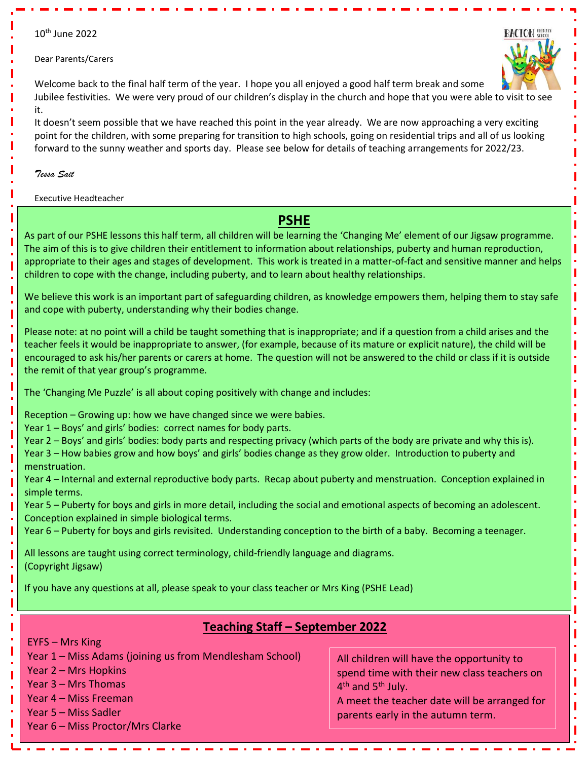### 10<sup>th</sup> June 2022

#### Dear Parents/Carers



Welcome back to the final half term of the year. I hope you all enjoyed a good half term break and some Jubilee festivities. We were very proud of our children's display in the church and hope that you were able to visit to see it.

It doesn't seem possible that we have reached this point in the year already. We are now approaching a very exciting point for the children, with some preparing for transition to high schools, going on residential trips and all of us looking forward to the sunny weather and sports day. Please see below for details of teaching arrangements for 2022/23.

#### *Tessa Sait*

Executive Headteacher

# **PSHE**

As part of our PSHE lessons this half term, all children will be learning the 'Changing Me' element of our Jigsaw programme. The aim of this is to give children their entitlement to information about relationships, puberty and human reproduction, appropriate to their ages and stages of development. This work is treated in a matter-of-fact and sensitive manner and helps children to cope with the change, including puberty, and to learn about healthy relationships.

We believe this work is an important part of safeguarding children, as knowledge empowers them, helping them to stay safe and cope with puberty, understanding why their bodies change.

Please note: at no point will a child be taught something that is inappropriate; and if a question from a child arises and the teacher feels it would be inappropriate to answer, (for example, because of its mature or explicit nature), the child will be encouraged to ask his/her parents or carers at home. The question will not be answered to the child or class if it is outside the remit of that year group's programme.

The 'Changing Me Puzzle' is all about coping positively with change and includes:

Reception – Growing up: how we have changed since we were babies.

Year 1 – Boys' and girls' bodies: correct names for body parts.

Year 2 – Boys' and girls' bodies: body parts and respecting privacy (which parts of the body are private and why this is).

Year 3 – How babies grow and how boys' and girls' bodies change as they grow older. Introduction to puberty and menstruation.

Year 4 – Internal and external reproductive body parts. Recap about puberty and menstruation. Conception explained in simple terms.

Year 5 – Puberty for boys and girls in more detail, including the social and emotional aspects of becoming an adolescent. Conception explained in simple biological terms.

Year 6 – Puberty for boys and girls revisited. Understanding conception to the birth of a baby. Becoming a teenager.

All lessons are taught using correct terminology, child-friendly language and diagrams. (Copyright Jigsaw)

If you have any questions at all, please speak to your class teacher or Mrs King (PSHE Lead)

## **Teaching Staff – September 2022**

EYFS – Mrs King

Year 1 – Miss Adams (joining us from Mendlesham School)

Year 2 – Mrs Hopkins

- Year 3 Mrs Thomas
- Year 4 Miss Freeman

Year 5 – Miss Sadler

Year 6 – Miss Proctor/Mrs Clarke

All children will have the opportunity to spend time with their new class teachers on 4<sup>th</sup> and 5<sup>th</sup> July.

A meet the teacher date will be arranged for parents early in the autumn term.

ı